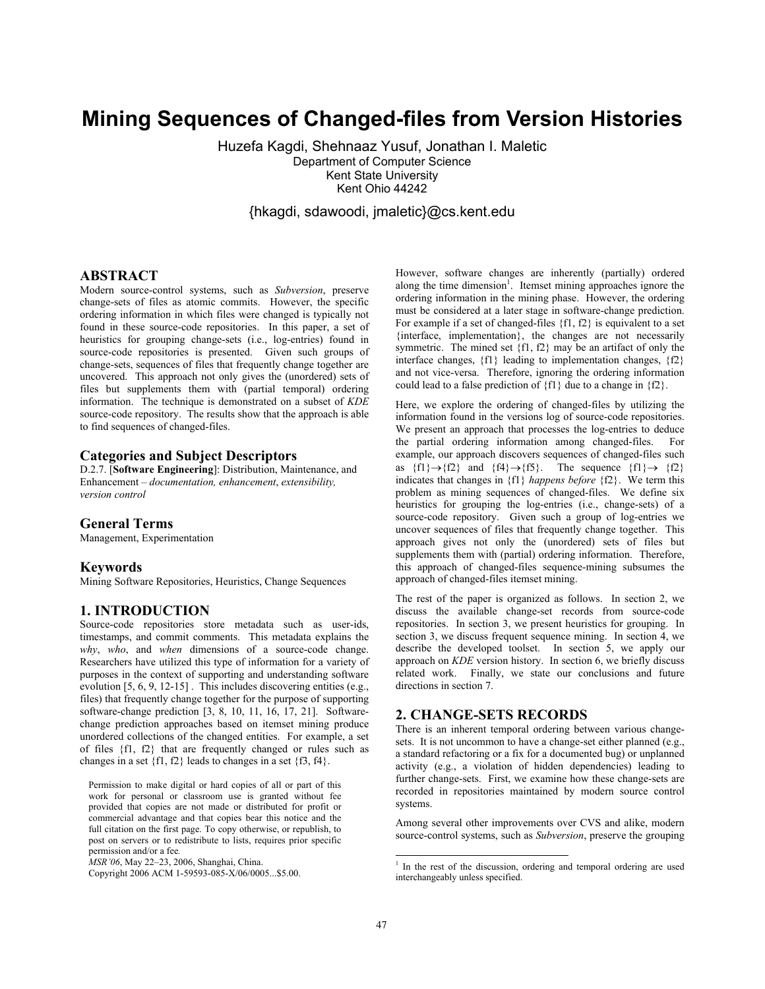# **Mining Sequences of Changed-files from Version Histories**

Huzefa Kagdi, Shehnaaz Yusuf, Jonathan I. Maletic Department of Computer Science Kent State University Kent Ohio 44242

{hkagdi, sdawoodi, jmaletic}@cs.kent.edu

## **ABSTRACT**

Modern source-control systems, such as *Subversion*, preserve change-sets of files as atomic commits. However, the specific ordering information in which files were changed is typically not found in these source-code repositories. In this paper, a set of heuristics for grouping change-sets (i.e., log-entries) found in source-code repositories is presented. Given such groups of change-sets, sequences of files that frequently change together are uncovered. This approach not only gives the (unordered) sets of files but supplements them with (partial temporal) ordering information. The technique is demonstrated on a subset of *KDE* source-code repository. The results show that the approach is able to find sequences of changed-files.

## **Categories and Subject Descriptors**

D.2.7. [**Software Engineering**]: Distribution, Maintenance, and Enhancement - *documentation, enhancement, extensibility, version control*

#### **General Terms**

Management, Experimentation

#### **Keywords**

Mining Software Repositories, Heuristics, Change Sequences

## **1. INTRODUCTION**

Source-code repositories store metadata such as user-ids, timestamps, and commit comments. This metadata explains the *why*, *who*, and *when* dimensions of a source-code change. Researchers have utilized this type of information for a variety of purposes in the context of supporting and understanding software evolution [5, 6, 9, 12-15] . This includes discovering entities (e.g., files) that frequently change together for the purpose of supporting software-change prediction [3, 8, 10, 11, 16, 17, 21]. Softwarechange prediction approaches based on itemset mining produce unordered collections of the changed entities. For example, a set of files {f1, f2} that are frequently changed or rules such as changes in a set  $\{f1, f2\}$  leads to changes in a set  $\{f3, f4\}$ .

However, software changes are inherently (partially) ordered along the time dimension<sup>1</sup>. Itemset mining approaches ignore the ordering information in the mining phase. However, the ordering must be considered at a later stage in software-change prediction. For example if a set of changed-files {f1, f2} is equivalent to a set {interface, implementation}, the changes are not necessarily symmetric. The mined set {f1, f2} may be an artifact of only the interface changes, {f1} leading to implementation changes, {f2} and not vice-versa. Therefore, ignoring the ordering information could lead to a false prediction of {f1} due to a change in {f2}.

Here, we explore the ordering of changed-files by utilizing the information found in the versions log of source-code repositories. We present an approach that processes the log-entries to deduce the partial ordering information among changed-files. For example, our approach discovers sequences of changed-files such as  ${f1} \rightarrow {f2}$  and  ${f4} \rightarrow {f5}$ . The sequence  ${f1} \rightarrow {f2}$ indicates that changes in {f1} *happens before* {f2}. We term this problem as mining sequences of changed-files. We define six heuristics for grouping the log-entries (i.e., change-sets) of a source-code repository. Given such a group of log-entries we uncover sequences of files that frequently change together. This approach gives not only the (unordered) sets of files but supplements them with (partial) ordering information. Therefore, this approach of changed-files sequence-mining subsumes the approach of changed-files itemset mining.

The rest of the paper is organized as follows. In section 2, we discuss the available change-set records from source-code repositories. In section 3, we present heuristics for grouping. In section 3, we discuss frequent sequence mining. In section 4, we describe the developed toolset. In section 5, we apply our approach on *KDE* version history. In section 6, we briefly discuss related work. Finally, we state our conclusions and future directions in section 7.

## **2. CHANGE-SETS RECORDS**

There is an inherent temporal ordering between various changesets. It is not uncommon to have a change-set either planned (e.g., a standard refactoring or a fix for a documented bug) or unplanned activity (e.g., a violation of hidden dependencies) leading to further change-sets. First, we examine how these change-sets are recorded in repositories maintained by modern source control systems.

Among several other improvements over CVS and alike, modern source-control systems, such as *Subversion*, preserve the grouping

Permission to make digital or hard copies of all or part of this work for personal or classroom use is granted without fee provided that copies are not made or distributed for profit or commercial advantage and that copies bear this notice and the full citation on the first page. To copy otherwise, or republish, to post on servers or to redistribute to lists, requires prior specific permission and/or a fee*.* 

*MSR'06*, May 22-23, 2006, Shanghai, China.

Copyright 2006 ACM 1-59593-085-X/06/0005...\$5.00.

<sup>&</sup>lt;sup>1</sup> In the rest of the discussion, ordering and temporal ordering are used interchangeably unless specified.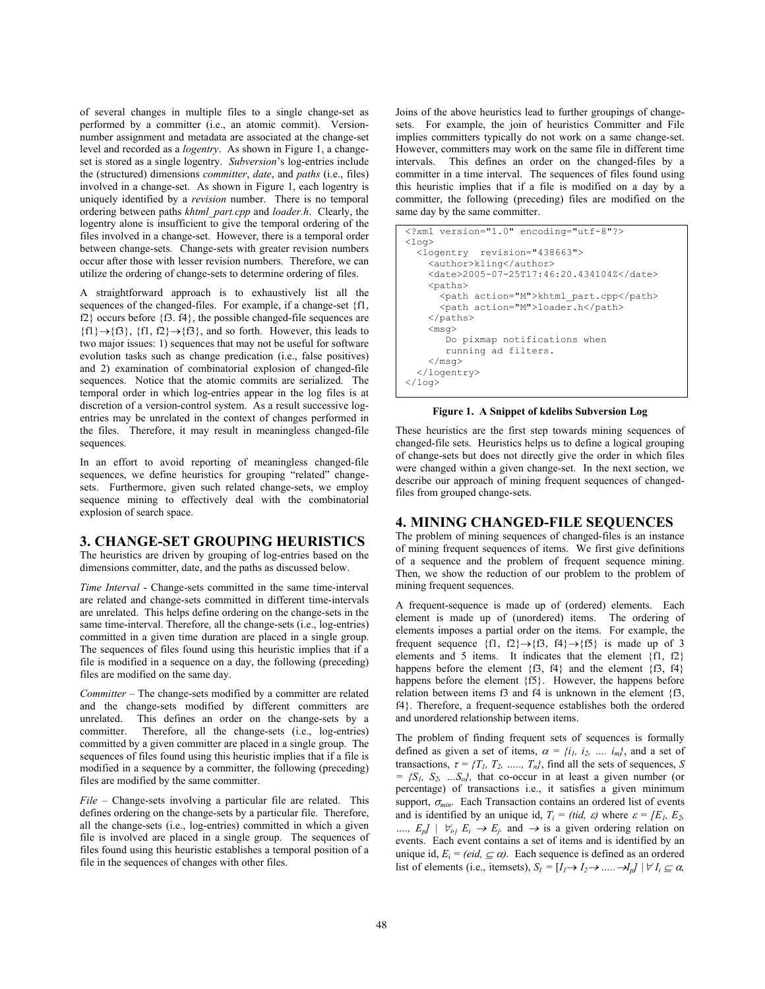of several changes in multiple files to a single change-set as performed by a committer (i.e., an atomic commit). Versionnumber assignment and metadata are associated at the change-set level and recorded as a *logentry*. As shown in Figure 1, a changeset is stored as a single logentry. *Subversion*'s log-entries include the (structured) dimensions *committer*, *date*, and *paths* (i.e., files) involved in a change-set. As shown in Figure 1, each logentry is uniquely identified by a *revision* number. There is no temporal ordering between paths *khtml\_part.cpp* and *loader.h*. Clearly, the logentry alone is insufficient to give the temporal ordering of the files involved in a change-set. However, there is a temporal order between change-sets. Change-sets with greater revision numbers occur after those with lesser revision numbers. Therefore, we can utilize the ordering of change-sets to determine ordering of files.

A straightforward approach is to exhaustively list all the sequences of the changed-files. For example, if a change-set {f1, f2} occurs before {f3. f4}, the possible changed-file sequences are  ${f1} \rightarrow {f3}$ ,  ${f1, f2} \rightarrow {f3}$ , and so forth. However, this leads to two major issues: 1) sequences that may not be useful for software evolution tasks such as change predication (i.e., false positives) and 2) examination of combinatorial explosion of changed-file sequences. Notice that the atomic commits are serialized. The temporal order in which log-entries appear in the log files is at discretion of a version-control system. As a result successive logentries may be unrelated in the context of changes performed in the files. Therefore, it may result in meaningless changed-file sequences.

In an effort to avoid reporting of meaningless changed-file sequences, we define heuristics for grouping "related" changesets. Furthermore, given such related change-sets, we employ sequence mining to effectively deal with the combinatorial explosion of search space.

## **3. CHANGE-SET GROUPING HEURISTICS**

The heuristics are driven by grouping of log-entries based on the dimensions committer, date, and the paths as discussed below.

*Time Interval* - Change-sets committed in the same time-interval are related and change-sets committed in different time-intervals are unrelated. This helps define ordering on the change-sets in the same time-interval. Therefore, all the change-sets (i.e., log-entries) committed in a given time duration are placed in a single group. The sequences of files found using this heuristic implies that if a file is modified in a sequence on a day, the following (preceding) files are modified on the same day.

*Committer* – The change-sets modified by a committer are related and the change-sets modified by different committers are unrelated. This defines an order on the change-sets by a committer. Therefore, all the change-sets (i.e., log-entries) committed by a given committer are placed in a single group. The sequences of files found using this heuristic implies that if a file is modified in a sequence by a committer, the following (preceding) files are modified by the same committer.

*File* – Change-sets involving a particular file are related. This defines ordering on the change-sets by a particular file. Therefore, all the change-sets (i.e., log-entries) committed in which a given file is involved are placed in a single group. The sequences of files found using this heuristic establishes a temporal position of a file in the sequences of changes with other files.

Joins of the above heuristics lead to further groupings of changesets. For example, the join of heuristics Committer and File implies committers typically do not work on a same change-set. However, committers may work on the same file in different time intervals. This defines an order on the changed-files by a committer in a time interval. The sequences of files found using this heuristic implies that if a file is modified on a day by a committer, the following (preceding) files are modified on the same day by the same committer.

```
<?xml version="1.0" encoding="utf-8"?> 
<log>
   <logentry revision="438663"> 
     <author>kling</author> 
     <date>2005-07-25T17:46:20.434104Z</date> 
    <paths> <path action="M">khtml_part.cpp</path> 
        <path action="M">loader.h</path> 
     </paths> 
    <msq> Do pixmap notifications when 
         running ad filters. 
    \langle/ms\alpha\rangle </logentry> 
\langle /log \rangle
```
#### **Figure 1. A Snippet of kdelibs Subversion Log**

These heuristics are the first step towards mining sequences of changed-file sets. Heuristics helps us to define a logical grouping of change-sets but does not directly give the order in which files were changed within a given change-set. In the next section, we describe our approach of mining frequent sequences of changedfiles from grouped change-sets.

#### **4. MINING CHANGED-FILE SEQUENCES**

The problem of mining sequences of changed-files is an instance of mining frequent sequences of items. We first give definitions of a sequence and the problem of frequent sequence mining. Then, we show the reduction of our problem to the problem of mining frequent sequences.

A frequent-sequence is made up of (ordered) elements. Each element is made up of (unordered) items. The ordering of elements imposes a partial order on the items. For example, the frequent sequence  ${f1, f2} \rightarrow {f3, f4} \rightarrow {f5}$  is made up of 3 elements and 5 items. It indicates that the element  ${f1, f2}$ happens before the element  $\{f3, f4\}$  and the element  $\{f3, f4\}$ happens before the element  ${f5}$ . However, the happens before relation between items f3 and f4 is unknown in the element {f3, f4}. Therefore, a frequent-sequence establishes both the ordered and unordered relationship between items.

The problem of finding frequent sets of sequences is formally defined as given a set of items,  $\alpha = \{i_1, i_2, \ldots, i_m\}$ , and a set of transactions,  $\tau = \{T_1, T_2, \ldots, T_n\}$ , find all the sets of sequences, *S*  $= {S_1, S_2, ... S_o}$ , that co-occur in at least a given number (or percentage) of transactions i.e., it satisfies a given minimum support,  $\sigma_{min}$ . Each Transaction contains an ordered list of events and is identified by an unique id,  $T_i = (tid, \varepsilon)$  where  $\varepsilon = [E_1, E_2, E_3]$ *….,*  $E_p$  |  $\forall_{i,j} E_i \rightarrow E_j$  and  $\rightarrow$  is a given ordering relation on events. Each event contains a set of items and is identified by an unique id,  $E_i = (eid, \subset \alpha)$ . Each sequence is defined as an ordered list of elements (i.e., itemsets),  $S_I = [I_I \rightarrow I_2 \rightarrow \dots \rightarrow I_p] \mid \forall I_i \subseteq \alpha$ ,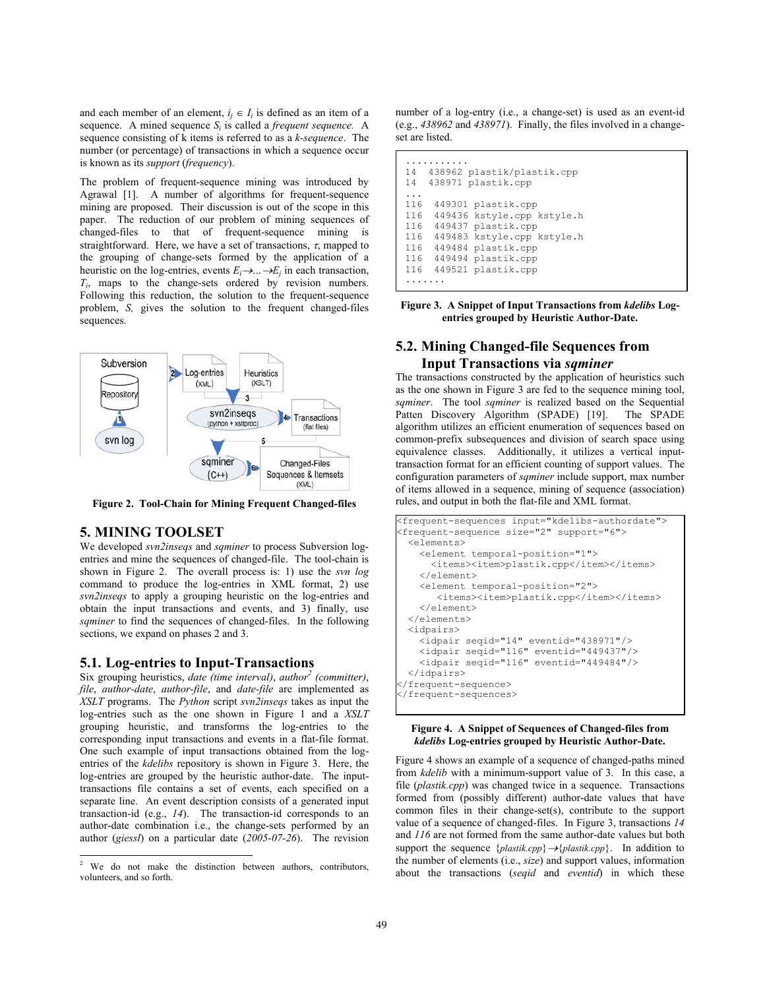and each member of an element,  $i_i \in I_i$  is defined as an item of a sequence. A mined sequence  $S_i$  is called a *frequent sequence*. A sequence consisting of k items is referred to as a *k-sequence*. The number (or percentage) of transactions in which a sequence occur is known as its *support* (*frequency*).

The problem of frequent-sequence mining was introduced by Agrawal [1]. A number of algorithms for frequent-sequence mining are proposed. Their discussion is out of the scope in this paper. The reduction of our problem of mining sequences of changed-files to that of frequent-sequence mining is straightforward. Here, we have a set of transactions,  $\tau$ , mapped to the grouping of change-sets formed by the application of a heuristic on the log-entries, events  $E_i \rightarrow \dots \rightarrow E_j$  in each transaction, *Ti*, maps to the change-sets ordered by revision numbers. Following this reduction, the solution to the frequent-sequence problem, *S,* gives the solution to the frequent changed-files sequences.



**Figure 2. Tool-Chain for Mining Frequent Changed-files** 

#### **5. MINING TOOLSET**

We developed *svn2inseqs* and *sqminer* to process Subversion logentries and mine the sequences of changed-file. The tool-chain is shown in Figure 2. The overall process is: 1) use the *svn log* command to produce the log-entries in XML format, 2) use *svn2inseqs* to apply a grouping heuristic on the log-entries and obtain the input transactions and events, and 3) finally, use *sqminer* to find the sequences of changed-files. In the following sections, we expand on phases 2 and 3.

#### **5.1. Log-entries to Input-Transactions**

Six grouping heuristics, *date (time interval)*, *author<sup>2</sup> (committer)*, *file*, *author-date*, *author-file*, and *date-file* are implemented as *XSLT* programs. The *Python* script *svn2inseqs* takes as input the log-entries such as the one shown in Figure 1 and a *XSLT* grouping heuristic, and transforms the log-entries to the corresponding input transactions and events in a flat-file format. One such example of input transactions obtained from the logentries of the *kdelibs* repository is shown in Figure 3. Here, the log-entries are grouped by the heuristic author-date. The inputtransactions file contains a set of events, each specified on a separate line. An event description consists of a generated input transaction-id (e.g., *14*). The transaction-id corresponds to an author-date combination i.e., the change-sets performed by an author (*giessl*) on a particular date (*2005-07-26*). The revision

number of a log-entry (i.e., a change-set) is used as an event-id (e.g., *438962* and *438971*). Finally, the files involved in a changeset are listed.

```
........... 
14 438962 plastik/plastik.cpp 
     14 438971 plastik.cpp 
116
116 449301 plastik.cpp<br>116 449436 kstyle.cpp
      449436 kstyle.cpp kstyle.h
116 449437 plastik.cpp<br>116 449483 kstyle.cpp
      449483 kstyle.cpp kstyle.h
116 449484 plastik.cpp 
116 449494 plastik.cpp<br>116 449521 plastik.cpp
     116 449521 plastik.cpp 
.......
```
**Figure 3. A Snippet of Input Transactions from** *kdelibs* **Logentries grouped by Heuristic Author-Date.** 

# **5.2. Mining Changed-file Sequences from Input Transactions via** *sqminer*

The transactions constructed by the application of heuristics such as the one shown in Figure 3 are fed to the sequence mining tool, *sqminer*. The tool *sqminer* is realized based on the Sequential Patten Discovery Algorithm (SPADE) [19]. The SPADE algorithm utilizes an efficient enumeration of sequences based on common-prefix subsequences and division of search space using equivalence classes. Additionally, it utilizes a vertical inputtransaction format for an efficient counting of support values. The configuration parameters of *sqminer* include support, max number of items allowed in a sequence, mining of sequence (association) rules, and output in both the flat-file and XML format.

```
<frequent-sequences input="kdelibs-authordate"> 
<frequent-sequence size="2" support="6"> 
  <elements> 
     <element temporal-position="1"> 
       <items><item>plastik.cpp</item></items> 
     </element> 
     <element temporal-position="2"> 
       <items><item>plastik.cpp</item></items>
     </element> 
   </elements> 
  <idpairs> 
     <idpair seqid="14" eventid="438971"/> 
     <idpair seqid="116" eventid="449437"/> 
     <idpair seqid="116" eventid="449484"/> 
   </idpairs> 
</frequent-sequence> 
</frequent-sequences>
```
#### **Figure 4. A Snippet of Sequences of Changed-files from**  *kdelibs* **Log-entries grouped by Heuristic Author-Date.**

Figure 4 shows an example of a sequence of changed-paths mined from *kdelib* with a minimum-support value of 3. In this case, a file (*plastik.cpp*) was changed twice in a sequence. Transactions formed from (possibly different) author-date values that have common files in their change-set(s), contribute to the support value of a sequence of changed-files. In Figure 3, transactions *14* and *116* are not formed from the same author-date values but both support the sequence  ${plastik\vspace{-1}}$  ${phastik\vspace{-1}}$ . In addition to the number of elements (i.e., *size*) and support values, information about the transactions (*seqid* and *eventid*) in which these

 2 We do not make the distinction between authors, contributors, volunteers, and so forth.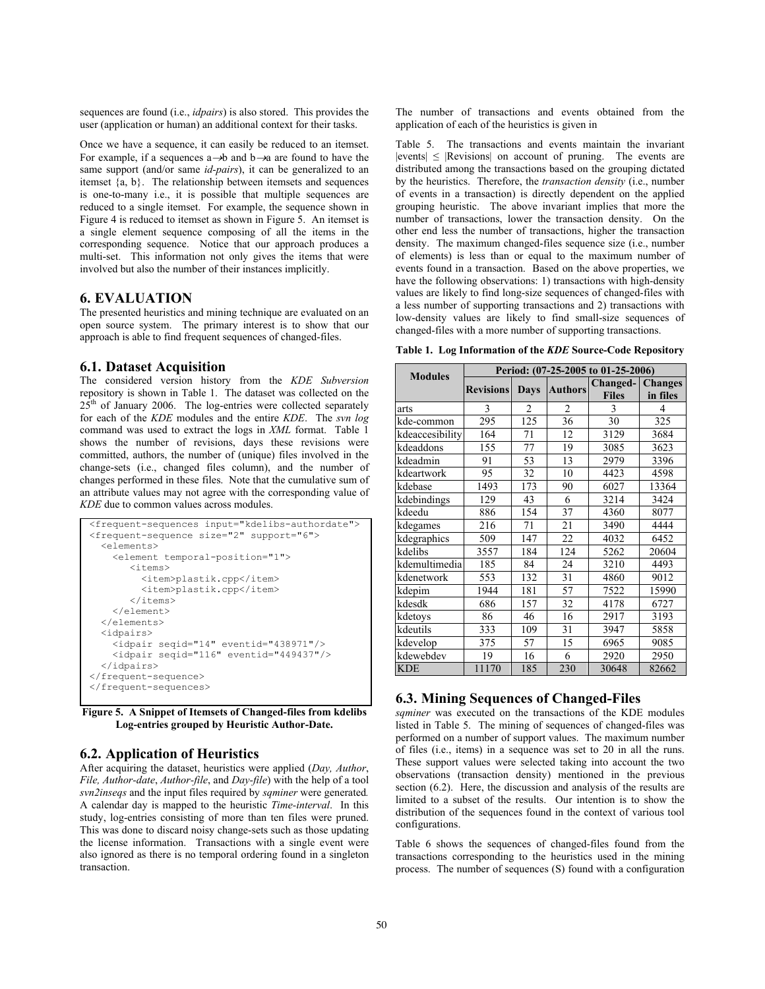sequences are found (i.e., *idpairs*) is also stored. This provides the user (application or human) an additional context for their tasks.

Once we have a sequence, it can easily be reduced to an itemset. For example, if a sequences  $a \rightarrow b$  and  $b \rightarrow a$  are found to have the same support (and/or same *id-pairs*), it can be generalized to an itemset {a, b}. The relationship between itemsets and sequences is one-to-many i.e., it is possible that multiple sequences are reduced to a single itemset. For example, the sequence shown in Figure 4 is reduced to itemset as shown in Figure 5. An itemset is a single element sequence composing of all the items in the corresponding sequence. Notice that our approach produces a multi-set. This information not only gives the items that were involved but also the number of their instances implicitly.

## **6. EVALUATION**

The presented heuristics and mining technique are evaluated on an open source system. The primary interest is to show that our approach is able to find frequent sequences of changed-files.

#### **6.1. Dataset Acquisition**

The considered version history from the *KDE Subversion* repository is shown in Table 1. The dataset was collected on the  $25<sup>th</sup>$  of January 2006. The log-entries were collected separately for each of the *KDE* modules and the entire *KDE*. The *svn log* command was used to extract the logs in *XML* format. Table 1 shows the number of revisions, days these revisions were committed, authors, the number of (unique) files involved in the change-sets (i.e., changed files column), and the number of changes performed in these files. Note that the cumulative sum of an attribute values may not agree with the corresponding value of *KDE* due to common values across modules.

```
<frequent-sequences input="kdelibs-authordate"> 
<frequent-sequence size="2" support="6"> 
   <elements> 
     <element temporal-position="1"> 
        <items> 
          <item>plastik.cpp</item> 
         <item>plastik.cpp</item>
        </items> 
     </element> 
   </elements> 
   <idpairs> 
     <idpair seqid="14" eventid="438971"/> 
     <idpair seqid="116" eventid="449437"/> 
   </idpairs> 
</frequent-sequence> 
</frequent-sequences>
```
**Figure 5. A Snippet of Itemsets of Changed-files from kdelibs Log-entries grouped by Heuristic Author-Date.** 

## **6.2. Application of Heuristics**

After acquiring the dataset, heuristics were applied (*Day, Author*, *File, Author-date*, *Author-file*, and *Day-file*) with the help of a tool *svn2inseqs* and the input files required by *sqminer* were generated*.* A calendar day is mapped to the heuristic *Time-interval*. In this study, log-entries consisting of more than ten files were pruned. This was done to discard noisy change-sets such as those updating the license information. Transactions with a single event were also ignored as there is no temporal ordering found in a singleton transaction.

The number of transactions and events obtained from the application of each of the heuristics is given in

Table 5. The transactions and events maintain the invariant  $|events| \leq |Revisions|$  on account of pruning. The events are distributed among the transactions based on the grouping dictated by the heuristics. Therefore, the *transaction density* (i.e., number of events in a transaction) is directly dependent on the applied grouping heuristic. The above invariant implies that more the number of transactions, lower the transaction density. On the other end less the number of transactions, higher the transaction density. The maximum changed-files sequence size (i.e., number of elements) is less than or equal to the maximum number of events found in a transaction. Based on the above properties, we have the following observations: 1) transactions with high-density values are likely to find long-size sequences of changed-files with a less number of supporting transactions and 2) transactions with low-density values are likely to find small-size sequences of changed-files with a more number of supporting transactions.

**Table 1. Log Information of the** *KDE* **Source-Code Repository** 

| <b>Modules</b>  | Period: (07-25-2005 to 01-25-2006) |             |                |                          |                            |  |  |  |  |  |  |  |
|-----------------|------------------------------------|-------------|----------------|--------------------------|----------------------------|--|--|--|--|--|--|--|
|                 | <b>Revisions</b>                   | <b>Days</b> | <b>Authors</b> | Changed-<br><b>Files</b> | <b>Changes</b><br>in files |  |  |  |  |  |  |  |
| arts            | 3                                  | 2           | 2              | 3                        | 4                          |  |  |  |  |  |  |  |
| kde-common      | 295                                | 125         | 36             | 30                       | 325                        |  |  |  |  |  |  |  |
| kdeaccesibility | 164                                | 71          | 12             | 3129                     | 3684                       |  |  |  |  |  |  |  |
| kdeaddons       | 155                                | 77          | 19             | 3085                     | 3623                       |  |  |  |  |  |  |  |
| kdeadmin        | 91                                 | 53          | 13             | 2979                     | 3396                       |  |  |  |  |  |  |  |
| kdeartwork      | 95                                 | 32          | 10             | 4423                     | 4598                       |  |  |  |  |  |  |  |
| kdebase         | 1493                               | 173         | 90             | 6027                     | 13364                      |  |  |  |  |  |  |  |
| kdebindings     | 129                                | 43          | 6              | 3214                     | 3424                       |  |  |  |  |  |  |  |
| kdeedu          | 886                                | 154         | 37             | 4360                     | 8077                       |  |  |  |  |  |  |  |
| kdegames        | 216                                | 71          | 21             | 3490                     | 4444                       |  |  |  |  |  |  |  |
| kdegraphics     | 509                                | 147         | 22             | 4032                     | 6452                       |  |  |  |  |  |  |  |
| kdelibs         | 3557                               | 184         | 124            | 5262                     | 20604                      |  |  |  |  |  |  |  |
| kdemultimedia   | 185                                | 84          | 24             | 3210                     | 4493                       |  |  |  |  |  |  |  |
| kdenetwork      | 553                                | 132         | 31             | 4860                     | 9012                       |  |  |  |  |  |  |  |
| kdepim          | 1944                               | 181         | 57             | 7522                     | 15990                      |  |  |  |  |  |  |  |
| kdesdk          | 686                                | 157         | 32             | 4178                     | 6727                       |  |  |  |  |  |  |  |
| kdetoys         | 86                                 | 46          | 16             | 2917                     | 3193                       |  |  |  |  |  |  |  |
| kdeutils        | 333                                | 109         | 31             | 3947                     | 5858                       |  |  |  |  |  |  |  |
| kdevelop        | 375                                | 57          | 15             | 6965                     | 9085                       |  |  |  |  |  |  |  |
| kdewebdev       | 19                                 | 16          | 6              | 2920                     | 2950                       |  |  |  |  |  |  |  |
| <b>KDE</b>      | 11170                              | 185         | 230            | 30648                    | 82662                      |  |  |  |  |  |  |  |

## **6.3. Mining Sequences of Changed-Files**

*sqminer* was executed on the transactions of the KDE modules listed in Table 5. The mining of sequences of changed-files was performed on a number of support values. The maximum number of files (i.e., items) in a sequence was set to 20 in all the runs. These support values were selected taking into account the two observations (transaction density) mentioned in the previous section (6.2). Here, the discussion and analysis of the results are limited to a subset of the results. Our intention is to show the distribution of the sequences found in the context of various tool configurations.

Table 6 shows the sequences of changed-files found from the transactions corresponding to the heuristics used in the mining process. The number of sequences (S) found with a configuration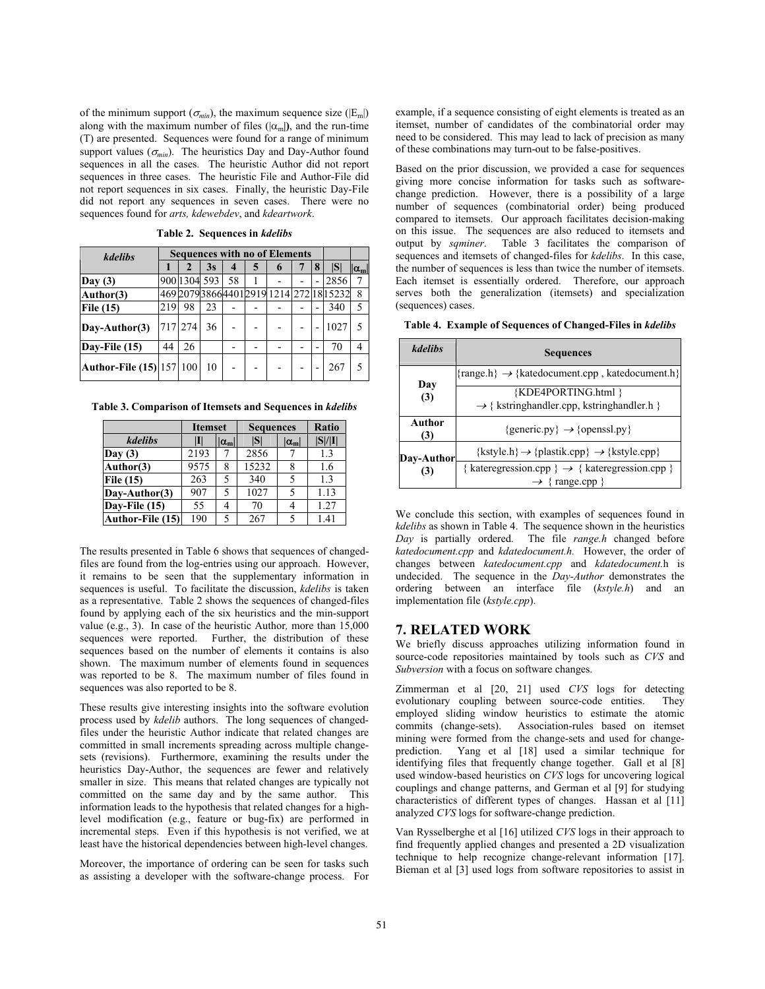of the minimum support ( $\sigma_{min}$ ), the maximum sequence size ( $|E_m|$ ) along with the maximum number of files  $(|\alpha_m|)$ , and the run-time (T) are presented. Sequences were found for a range of minimum support values ( $\sigma_{min}$ ). The heuristics Day and Day-Author found sequences in all the cases. The heuristic Author did not report sequences in three cases. The heuristic File and Author-File did not report sequences in six cases. Finally, the heuristic Day-File did not report any sequences in seven cases. There were no sequences found for *arts, kdewebdev*, and *kdeartwork*.

| kdelibs                         |     | <b>Sequences with no of Elements</b> |    |    |   |   |  |  |                                                 |                |
|---------------------------------|-----|--------------------------------------|----|----|---|---|--|--|-------------------------------------------------|----------------|
|                                 |     | 3s<br>2                              |    | 4  | 5 | 6 |  |  | IS                                              | $ \alpha_{m} $ |
| Day(3)                          |     | 900 1304 593                         |    | 58 |   |   |  |  | 2856                                            |                |
| Author(3)                       |     |                                      |    |    |   |   |  |  | 469 2079 386 644 01 29 19 12 14 27 2 18 15 23 2 | 8              |
| <b>File</b> (15)                | 219 | 98                                   | 23 |    |   |   |  |  | 340                                             | 5              |
| Day-Author(3)                   |     | 717 274                              | 36 |    |   |   |  |  | 1027                                            |                |
| Day-File (15)                   | 44  | 26                                   |    |    |   |   |  |  | 70                                              | 4              |
| <b>Author-File (15)</b> 157 100 |     |                                      | 10 |    |   |   |  |  | 267                                             |                |

**Table 2. Sequences in** *kdelibs*

**Table 3. Comparison of Itemsets and Sequences in** *kdelibs*

|                  | <b>Itemset</b>     |                          | <b>Sequences</b> | <b>Ratio</b>       |       |
|------------------|--------------------|--------------------------|------------------|--------------------|-------|
| kdelibs          | $ \alpha_{\rm m} $ |                          | S                | $ \alpha_{\rm m} $ | S / I |
| Day $(3)$        | 2193               |                          | 2856             |                    | 1.3   |
| Author(3)        | 9575               | 8                        | 15232            | 8                  | 1.6   |
| <b>File</b> (15) | 263                | 5                        | 340              |                    | 1.3   |
| Day-Author(3)    | 907                | 5                        | 1027             |                    | 1.13  |
| Day-File (15)    | 55                 |                          | 70               |                    | 1.27  |
| Author-File (15) | 190                | $\overline{\phantom{1}}$ | 267              |                    | 1.41  |

The results presented in Table 6 shows that sequences of changedfiles are found from the log-entries using our approach. However, it remains to be seen that the supplementary information in sequences is useful. To facilitate the discussion, *kdelibs* is taken as a representative. Table 2 shows the sequences of changed-files found by applying each of the six heuristics and the min-support value (e.g., 3). In case of the heuristic Author*,* more than 15,000 sequences were reported. Further, the distribution of these sequences based on the number of elements it contains is also shown. The maximum number of elements found in sequences was reported to be 8. The maximum number of files found in sequences was also reported to be 8.

These results give interesting insights into the software evolution process used by *kdelib* authors. The long sequences of changedfiles under the heuristic Author indicate that related changes are committed in small increments spreading across multiple changesets (revisions). Furthermore, examining the results under the heuristics Day-Author, the sequences are fewer and relatively smaller in size. This means that related changes are typically not committed on the same day and by the same author. This information leads to the hypothesis that related changes for a highlevel modification (e.g., feature or bug-fix) are performed in incremental steps. Even if this hypothesis is not verified, we at least have the historical dependencies between high-level changes.

Moreover, the importance of ordering can be seen for tasks such as assisting a developer with the software-change process. For example, if a sequence consisting of eight elements is treated as an itemset, number of candidates of the combinatorial order may need to be considered. This may lead to lack of precision as many of these combinations may turn-out to be false-positives.

Based on the prior discussion, we provided a case for sequences giving more concise information for tasks such as softwarechange prediction. However, there is a possibility of a large number of sequences (combinatorial order) being produced compared to itemsets. Our approach facilitates decision-making on this issue. The sequences are also reduced to itemsets and output by *sqminer*. Table 3 facilitates the comparison of sequences and itemsets of changed-files for *kdelibs*. In this case, the number of sequences is less than twice the number of itemsets. Each itemset is essentially ordered. Therefore, our approach serves both the generalization (itemsets) and specialization (sequences) cases.

| kdelibs       | <b>Sequences</b>                                                                           |  |  |  |  |  |  |
|---------------|--------------------------------------------------------------------------------------------|--|--|--|--|--|--|
|               | $\{range.h\} \rightarrow \{katedocument.cpp, katedocument.h\}$                             |  |  |  |  |  |  |
| Day<br>(3)    | {KDE4PORTING.html }<br>$\rightarrow$ { kstringhandler.cpp, kstringhandler.h }              |  |  |  |  |  |  |
| Author<br>(3) | {generic.py} $\rightarrow$ {openssl.py}                                                    |  |  |  |  |  |  |
| Day-Author    | $\{kstyle.h\} \rightarrow \{plastik.cpp\} \rightarrow \{kstyle.cpp\}$                      |  |  |  |  |  |  |
| (3)           | { kateregression.cpp } $\rightarrow$ { kateregression.cpp }<br>$\rightarrow$ { range.cpp } |  |  |  |  |  |  |

**Table 4. Example of Sequences of Changed-Files in** *kdelibs*

We conclude this section, with examples of sequences found in *kdelibs* as shown in Table 4. The sequence shown in the heuristics *Day* is partially ordered. The file *range.h* changed before *katedocument.cpp* and *kdatedocument.h.* However, the order of changes between *katedocument.cpp* and *kdatedocument.*h is undecided. The sequence in the *Day-Author* demonstrates the ordering between an interface file (*kstyle.h*) and an implementation file (*kstyle.cpp*).

### **7. RELATED WORK**

We briefly discuss approaches utilizing information found in source-code repositories maintained by tools such as *CVS* and *Subversion* with a focus on software changes.

Zimmerman et al [20, 21] used *CVS* logs for detecting evolutionary coupling between source-code entities. They employed sliding window heuristics to estimate the atomic commits (change-sets). Association-rules based on itemset mining were formed from the change-sets and used for changeprediction. Yang et al [18] used a similar technique for identifying files that frequently change together. Gall et al [8] used window-based heuristics on *CVS* logs for uncovering logical couplings and change patterns, and German et al [9] for studying characteristics of different types of changes. Hassan et al [11] analyzed *CVS* logs for software-change prediction.

Van Rysselberghe et al [16] utilized *CVS* logs in their approach to find frequently applied changes and presented a 2D visualization technique to help recognize change-relevant information [17]. Bieman et al [3] used logs from software repositories to assist in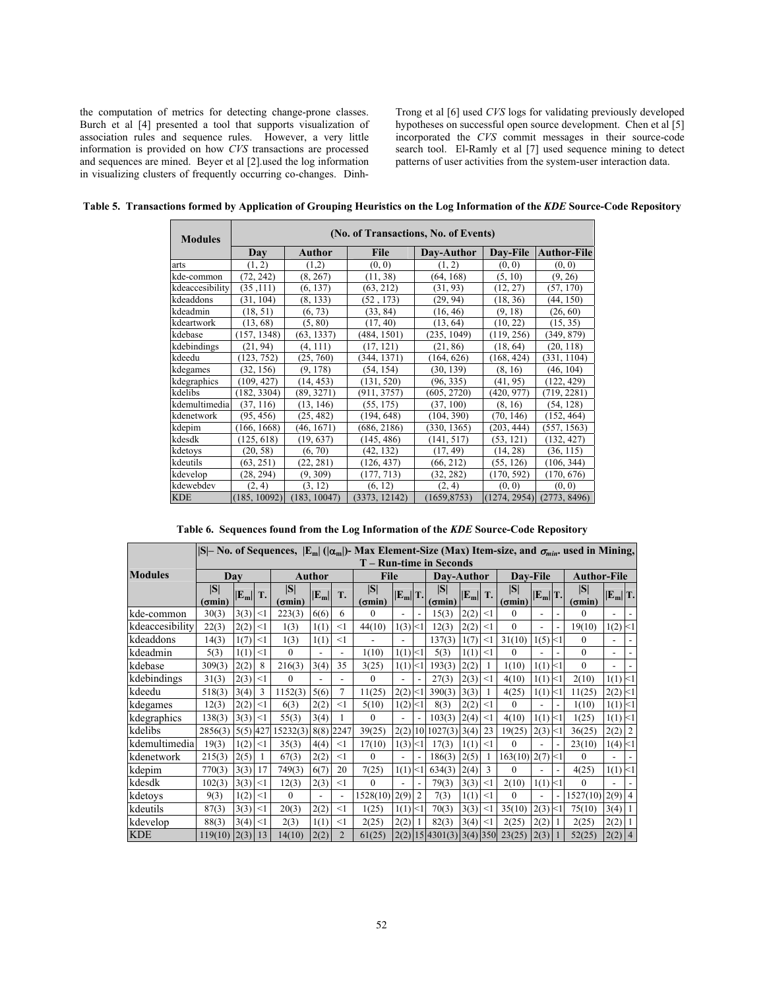the computation of metrics for detecting change-prone classes. Burch et al [4] presented a tool that supports visualization of association rules and sequence rules. However, a very little information is provided on how *CVS* transactions are processed and sequences are mined. Beyer et al [2].used the log information in visualizing clusters of frequently occurring co-changes. DinhTrong et al [6] used *CVS* logs for validating previously developed hypotheses on successful open source development. Chen et al [5] incorporated the *CVS* commit messages in their source-code search tool. El-Ramly et al [7] used sequence mining to detect patterns of user activities from the system-user interaction data.

| <b>Modules</b>  |              |              | (No. of Transactions, No. of Events) |              |              |                    |
|-----------------|--------------|--------------|--------------------------------------|--------------|--------------|--------------------|
|                 | Day          | Author       | File                                 | Day-Author   | Day-File     | <b>Author-File</b> |
| arts            | (1, 2)       | (1,2)        | (0, 0)                               | (1, 2)       | (0, 0)       | (0, 0)             |
| kde-common      | (72, 242)    | (8, 267)     | (11, 38)                             | (64, 168)    | (5, 10)      | (9, 26)            |
| kdeaccesibility | (35, 111)    | (6, 137)     | (63, 212)                            | (31, 93)     | (12, 27)     | (57, 170)          |
| kdeaddons       | (31, 104)    | (8, 133)     | (52, 173)                            | (29, 94)     | (18, 36)     | (44, 150)          |
| kdeadmin        | (18, 51)     | (6, 73)      | (33, 84)                             | (16, 46)     | (9, 18)      | (26, 60)           |
| kdeartwork      | (13, 68)     | (5, 80)      | (17, 40)                             | (13, 64)     | (10, 22)     | (15, 35)           |
| kdebase         | (157, 1348)  | (63, 1337)   | (484, 1501)                          | (235, 1049)  | (119, 256)   | (349, 879)         |
| kdebindings     | (21, 94)     | (4, 111)     | (17, 121)                            | (21, 86)     | (18, 64)     | (20, 118)          |
| kdeedu          | (123, 752)   | (25, 760)    | (344, 1371)                          | (164, 626)   | (168, 424)   | (331, 1104)        |
| kdegames        | (32, 156)    | (9, 178)     | (54, 154)                            | (30, 139)    | (8, 16)      | (46, 104)          |
| kdegraphics     | (109, 427)   | (14, 453)    | (131, 520)                           | (96, 335)    | (41, 95)     | (122, 429)         |
| kdelibs         | (182, 3304)  | (89, 3271)   | (911, 3757)                          | (605, 2720)  | (420, 977)   | (719, 2281)        |
| kdemultimedia   | (37, 116)    | (13, 146)    | (55, 175)                            | (37, 100)    | (8, 16)      | (54, 128)          |
| kdenetwork      | (95, 456)    | (25, 482)    | (194, 648)                           | (104, 390)   | (70, 146)    | (152, 464)         |
| kdepim          | 166, 1668    | (46, 1671)   | (686, 2186)                          | (330, 1365)  | (203, 444)   | (557, 1563)        |
| kdesdk          | (125, 618)   | (19, 637)    | (145, 486)                           | (141, 517)   | (53, 121)    | (132, 427)         |
| kdetoys         | (20, 58)     | (6, 70)      | (42, 132)                            | (17, 49)     | (14, 28)     | (36, 115)          |
| kdeutils        | (63, 251)    | (22, 281)    | (126, 437)                           | (66, 212)    | (55, 126)    | (106, 344)         |
| kdevelop        | (28, 294)    | (9, 309)     | (177, 713)                           | (32, 282)    | (170, 592)   | (170, 676)         |
| kdewebdev       | (2, 4)       | (3, 12)      | (6, 12)                              | (2, 4)       | (0, 0)       | (0, 0)             |
| <b>KDE</b>      | (185, 10092) | (183, 10047) | (3373, 12142)                        | (1659, 8753) | (1274, 2954) | (2773, 8496)       |

**Table 5. Transactions formed by Application of Grouping Heuristics on the Log Information of the** *KDE* **Source-Code Repository** 

**Table 6. Sequences found from the Log Information of the** *KDE* **Source-Code Repository** 

|                 | $ S -$ No. of Sequences, $ E_m $ ( $ \alpha_m $ )- Max Element-Size (Max) Item-size, and $\sigma_{min}$ used in Mining, |                             |       |              |                          |                          |              |                          |     |                             |         |       |                       |          |       |                      |                                |                          |
|-----------------|-------------------------------------------------------------------------------------------------------------------------|-----------------------------|-------|--------------|--------------------------|--------------------------|--------------|--------------------------|-----|-----------------------------|---------|-------|-----------------------|----------|-------|----------------------|--------------------------------|--------------------------|
|                 | T – Run-time in Seconds                                                                                                 |                             |       |              |                          |                          |              |                          |     |                             |         |       |                       |          |       |                      |                                |                          |
| <b>Modules</b>  |                                                                                                                         | Day                         |       |              | <b>Author</b>            |                          | File         |                          |     | Day-Author                  |         |       | Dav-File              |          |       | <b>Author-File</b>   |                                |                          |
|                 | S <br>$(\sigma min)$                                                                                                    | $ \mathbf{E}_{\mathbf{m}} $ | T.    | S <br>(σmin) | $ E_m $                  | T.                       | S <br>(σmin) | $ \mathbf{E}_{m} $ T.    |     | S <br>(σmin`                | $ E_m $ | T.    | S <br>( <i>omin</i> ) | $ E_m $  | T.    | S <br>$(\sigma min)$ | $ \mathbf{E}_{\mathbf{m}} $ T. |                          |
| kde-common      | 30(3)                                                                                                                   | 3(3)                        | $<$ 1 | 223(3)       | 6(6)                     | 6                        | $\theta$     |                          |     | 15(3)                       | 2(2)    | $<$ 1 | $\Omega$              |          |       | $\theta$             |                                |                          |
| kdeaccesibility | 22(3)                                                                                                                   | 2(2)                        | <1    | 1(3)         | 1(1)                     | <1                       | 44(10)       | 1(3) < 1                 |     | 12(3)                       | 2(2)    | $<$ 1 | $\theta$              |          |       | 19(10)               | 1(2) < 1                       |                          |
| kdeaddons       | 14(3)                                                                                                                   | 1(7)                        | $<$ 1 | 1(3)         | 1(1)                     | <1                       | -            | $\overline{\phantom{a}}$ |     | 137(3)                      | 1(7)    | $<$ 1 | 31(10)                | 1(5)     | $<$ 1 | $\Omega$             | $\overline{\phantom{a}}$       | $\overline{\phantom{0}}$ |
| kdeadmin        | 5(3)                                                                                                                    | 1(1)                        | $<$ 1 | $\Omega$     | $\overline{\phantom{a}}$ |                          | 1(10)        | 1(1)                     | <   | 5(3)                        | 1(1)    | $<$ 1 | $\Omega$              |          |       | $\Omega$             |                                |                          |
| kdebase         | 309(3)                                                                                                                  | 2(2)                        | 8     | 216(3)       | 3(4)                     | 35                       | 3(25)        | 1(1)                     | <   | 193(3)                      | 2(2)    |       | 1(10)                 | 1(1)     | l<1   | $\Omega$             |                                |                          |
| kdebindings     | 31(3)                                                                                                                   | 2(3)                        | $<$ 1 | $\Omega$     |                          | $\overline{\phantom{0}}$ | $\Omega$     |                          |     | 27(3)                       | 2(3)    | $<$ 1 | 4(10)                 | 1(1)     | ∣<1   | 2(10)                | $1(1)$ <1                      |                          |
| kdeedu          | 518(3)                                                                                                                  | 3(4)                        | 3     | 1152(3)      | 5(6)                     | 7                        | 11(25)       | 2(2)                     |     | 390(3)                      | 3(3)    |       | 4(25)                 | 1(1)     | $<$ 1 | 11(25)               | 2(2) < 1                       |                          |
| kdegames        | 12(3)                                                                                                                   | 2(2)                        | $<$ 1 | 6(3)         | 2(2)                     | $<$ 1                    | 5(10)        | 1(2)                     | l<1 | 8(3)                        | 2(2)    | $<$ 1 | $\Omega$              |          |       | 1(10)                | 1(1) < 1                       |                          |
| kdegraphics     | 138(3)                                                                                                                  | 3(3)                        | $<$ 1 | 55(3)        | 3(4)                     |                          | $\theta$     |                          |     | 103(3)                      | 2(4)    | $<$ 1 | 4(10)                 | 1(1)     | ık1   | 1(25)                | 1(1) < 1                       |                          |
| kdelibs         | 2856(3)                                                                                                                 | $5(5)$ 427                  |       | 15232(3)     |                          | $8(8)$ 2247              | 39(25)       | 2(2)                     |     | 10 1027(3)                  | 3(4)    | 23    | 19(25)                | 2(3)     | l<1   | 36(25)               | 2(2)                           | $\overline{2}$           |
| kdemultimedia   | 19(3)                                                                                                                   | 1(2)                        | $<$ 1 | 35(3)        | 4(4)                     | <1                       | 17(10)       | 1(3)                     | <1  | 17(3)                       | 1(1)    | $<$ 1 | $\Omega$              |          |       | 23(10)               | 1(4)                           | $\leq$ 1                 |
| kdenetwork      | 215(3)                                                                                                                  | 2(5)                        |       | 67(3)        | 2(2)                     | <1                       | $\Omega$     | $\blacksquare$           |     | 186(3)                      | 2(5)    |       | 163(10)               | 2(7) < 1 |       | $\Omega$             |                                |                          |
| kdepim          | 770(3)                                                                                                                  | 3(3)                        | 17    | 749(3)       | 6(7)                     | 20                       | 7(25)        | 1(1)                     | <   | 634(3)                      | 2(4)    | 3     | $\Omega$              |          |       | 4(25)                | 1(1) < 1                       |                          |
| kdesdk          | 102(3)                                                                                                                  | 3(3)                        | $<$ 1 | 12(3)        | 2(3)                     | <1                       | $\Omega$     | $\overline{\phantom{a}}$ |     | 79(3)                       | 3(3)    | $<$ 1 | 2(10)                 | 1(1) < 1 |       | $\Omega$             |                                |                          |
| kdetoys         | 9(3)                                                                                                                    | 1(2)                        | $<$ 1 | $\Omega$     | $\overline{\phantom{a}}$ | $\overline{\phantom{a}}$ | 1528(10)     | 2(9)                     | 2   | 7(3)                        | 1(1)    | $<$ 1 | $\Omega$              |          |       | 1527(10)             | 2(9)                           | $\overline{4}$           |
| kdeutils        | 87(3)                                                                                                                   | 3(3)                        | $<$ 1 | 20(3)        | 2(2)                     | <1                       | 1(25)        | 1(1)                     | <1  | 70(3)                       | 3(3)    | $<$ 1 | 35(10)                | 2(3)     | ∣<1   | 75(10)               | 3(4)                           |                          |
| kdevelop        | 88(3)                                                                                                                   | 3(4)                        | <1    | 2(3)         | 1(1)                     | $<$ 1                    | 2(25)        | 2(2)                     |     | 82(3)                       | 3(4)    | <1    | 2(25)                 | 2(2)     |       | 2(25)                | 2(2)                           |                          |
| <b>KDE</b>      | 119(10)                                                                                                                 | 2(3)                        | 13    | 14(10)       | 2(2)                     | $\mathfrak{D}$           | 61(25)       |                          |     | $2(2)$  15 4301(3) 3(4) 350 |         |       | 23(25)                | 2(3)     |       | 52(25)               | $2(2)$ 4                       |                          |